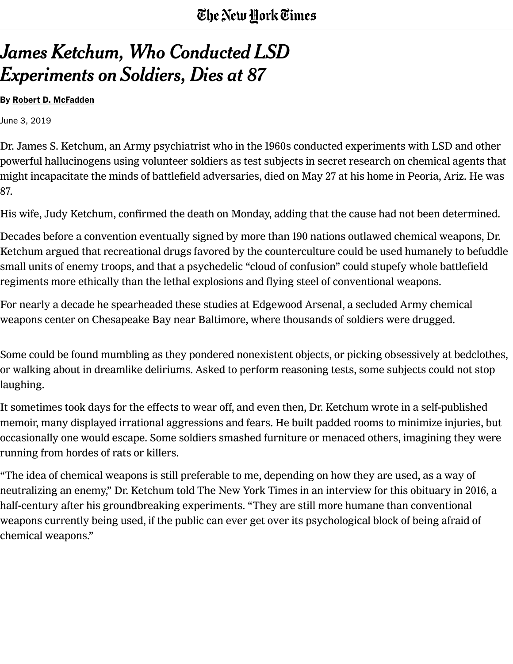## James Ketchum, Who Conducted LSD Experiments on Soldiers, Dies at 87

## By Robert D. [McFadden](https://www.nytimes.com/by/robert-d-mcfadden)

June 3, 2019

Dr. James S. Ketchum, an Army psychiatrist who in the 1960s conducted experiments with LSD and other powerful hallucinogens using volunteer soldiers as test subjects in secret research on chemical agents that might incapacitate the minds of battlefield adversaries, died on May 27 at his home in Peoria, Ariz. He was 87.

His wife, Judy Ketchum, confirmed the death on Monday, adding that the cause had not been determined.

Decades before a convention eventually signed by more than 190 nations outlawed chemical weapons, Dr. Ketchum argued that recreational drugs favored by the counterculture could be used humanely to befuddle small units of enemy troops, and that a psychedelic "cloud of confusion" could stupefy whole battlefield regiments more ethically than the lethal explosions and flying steel of conventional weapons.

For nearly a decade he spearheaded these studies at Edgewood Arsenal, a secluded Army chemical weapons center on Chesapeake Bay near Baltimore, where thousands of soldiers were drugged.

Some could be found mumbling as they pondered nonexistent objects, or picking obsessively at bedclothes, or walking about in dreamlike deliriums. Asked to perform reasoning tests, some subjects could not stop laughing.

It sometimes took days for the effects to wear off, and even then, Dr. Ketchum wrote in a self-published memoir, many displayed irrational aggressions and fears. He built padded rooms to minimize injuries, but occasionally one would escape. Some soldiers smashed furniture or menaced others, imagining they were running from hordes of rats or killers.

"The idea of chemical weapons is still preferable to me, depending on how they are used, as a way of neutralizing an enemy," Dr. Ketchum told The New York Times in an interview for this obituary in 2016, a half-century after his groundbreaking experiments. "They are still more humane than conventional weapons currently being used, if the public can ever get over its psychological block of being afraid of chemical weapons."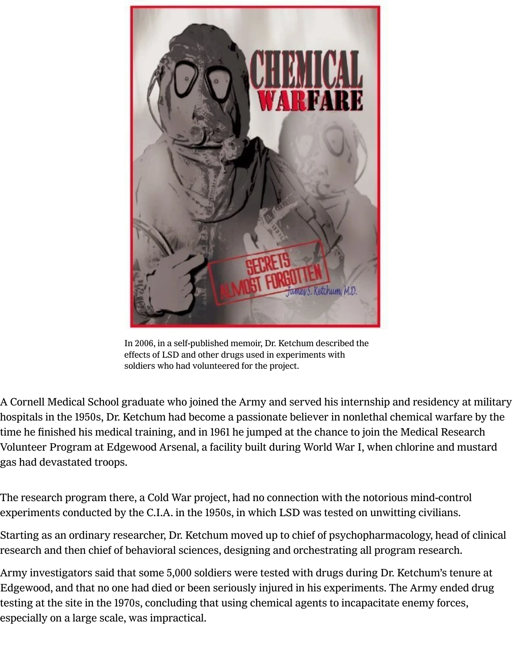

In 2006, in a self‑published memoir, Dr. Ketchum described the effects of LSD and other drugs used in experiments with soldiers who had volunteered for the project.

A Cornell Medical School graduate who joined the Army and served his internship and residency at military hospitals in the 1950s, Dr. Ketchum had become a passionate believer in nonlethal chemical warfare by the time he finished his medical training, and in 1961 he jumped at the chance to join the Medical Research Volunteer Program at Edgewood Arsenal, a facility built during World War I, when chlorine and mustard gas had devastated troops.

The research program there, a Cold War project, had no connection with the notorious mind‑control experiments conducted by the C.I.A. in the 1950s, in which LSD was tested on unwitting civilians.

Starting as an ordinary researcher, Dr. Ketchum moved up to chief of psychopharmacology, head of clinical research and then chief of behavioral sciences, designing and orchestrating all program research.

Army investigators said that some 5,000 soldiers were tested with drugs during Dr. Ketchum's tenure at Edgewood, and that no one had died or been seriously injured in his experiments. The Army ended drug testing at the site in the 1970s, concluding that using chemical agents to incapacitate enemy forces, especially on a large scale, was impractical.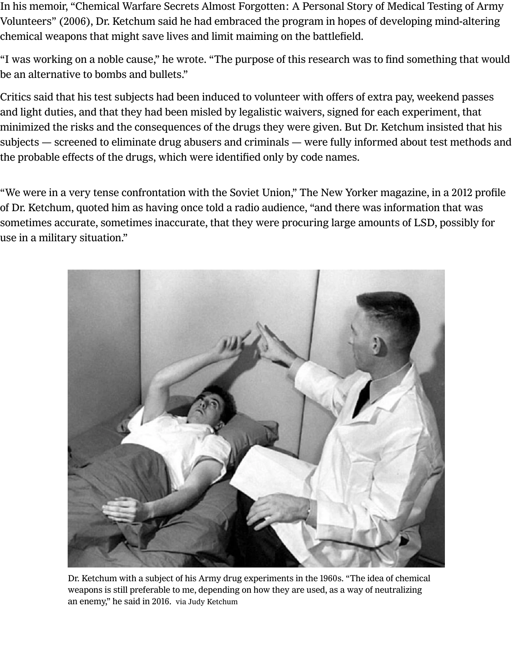In his memoir, "Chemical Warfare Secrets Almost Forgotten: A Personal Story of Medical Testing of Army Volunteers" (2006), Dr. Ketchum said he had embraced the program in hopes of developing mind‑altering chemical weapons that might save lives and limit maiming on the battlefield.

"I was working on a noble cause," he wrote. "The purpose of this research was to find something that would be an alternative to bombs and bullets."

Critics said that his test subjects had been induced to volunteer with offers of extra pay, weekend passes and light duties, and that they had been misled by legalistic waivers, signed for each experiment, that minimized the risks and the consequences of the drugs they were given. But Dr. Ketchum insisted that his subjects — screened to eliminate drug abusers and criminals — were fully informed about test methods and the probable effects of the drugs, which were identified only by code names.

["We were in a very tense confrontation with the Soviet Union," The New Yorker magazine, in a 2012 profile](https://www.newyorker.com/magazine/2012/12/17/operation-delirium) of Dr. Ketchum, quoted him as having once told a radio audience, "and there was information that was sometimes accurate, sometimes inaccurate, that they were procuring large amounts of LSD, possibly for use in a military situation."



Dr. Ketchum with a subject of his Army drug experiments in the 1960s. "The idea of chemical weapons is still preferable to me, depending on how they are used, as a way of neutralizing an enemy," he said in 2016. via Judy Ketchum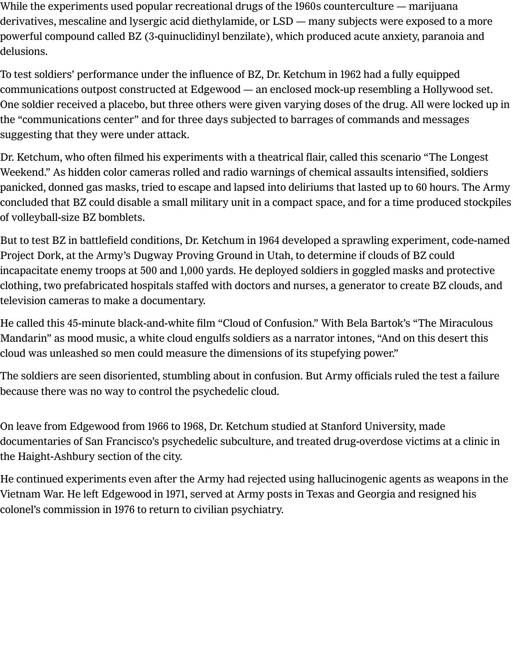While the experiments used popular recreational drugs of the 1960s counterculture — marijuana derivatives, mescaline and lysergic acid diethylamide, or LSD — many subjects were exposed to a more powerful compound called BZ (3‑quinuclidinyl benzilate), which produced acute anxiety, paranoia and delusions.

To test soldiers' performance under the influence of BZ, Dr. Ketchum in 1962 had a fully equipped communications outpost constructed at Edgewood — an enclosed mock‑up resembling a Hollywood set. One soldier received a placebo, but three others were given varying doses of the drug. All were locked up in the "communications center" and for three days subjected to barrages of commands and messages suggesting that they were under attack.

Dr. Ketchum, who often filmed his experiments with a theatrical flair, called this scenario "The Longest Weekend." As hidden color cameras rolled and radio warnings of chemical assaults intensified, soldiers panicked, donned gas masks, tried to escape and lapsed into deliriums that lasted up to 60 hours. The Army concluded that BZ could disable a small military unit in a compact space, and for a time produced stockpiles of volleyball-size BZ bomblets.

But to test BZ in battlefield conditions, Dr. Ketchum in 1964 developed a sprawling experiment, code-named Project Dork, at the Army's Dugway Proving Ground in Utah, to determine if clouds of BZ could incapacitate enemy troops at 500 and 1,000 yards. He deployed soldiers in goggled masks and protective clothing, two prefabricated hospitals staffed with doctors and nurses, a generator to create BZ clouds, and television cameras to make a documentary.

He called this 45‑minute black‑and‑white film "Cloud of Confusion." With Bela Bartok's "The Miraculous Mandarin" as mood music, a white cloud engulfs soldiers as a narrator intones, "And on this desert this cloud was unleashed so men could measure the dimensions of its stupefying power."

The soldiers are seen disoriented, stumbling about in confusion. But Army officials ruled the test a failure because there was no way to control the psychedelic cloud.

On leave from Edgewood from 1966 to 1968, Dr. Ketchum studied at Stanford University, made documentaries of San Francisco's psychedelic subculture, and treated drug‑overdose victims at a clinic in the Haight‑Ashbury section of the city.

He continued experiments even after the Army had rejected using hallucinogenic agents as weapons in the Vietnam War. He left Edgewood in 1971, served at Army posts in Texas and Georgia and resigned his colonel's commission in 1976 to return to civilian psychiatry.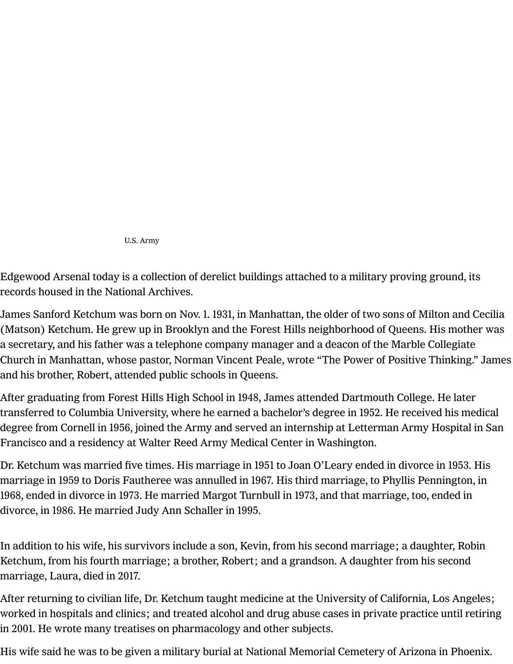U.S. Army

Edgewood Arsenal today is a collection of derelict buildings attached to a military proving ground, its records housed in the National Archives.

James Sanford Ketchum was born on Nov. 1. 1931, in Manhattan, the older of two sons of Milton and Cecilia (Matson) Ketchum. He grew up in Brooklyn and the Forest Hills neighborhood of Queens. His mother was a secretary, and his father was a telephone company manager and a deacon of the Marble Collegiate Church in Manhattan, whose pastor, Norman Vincent Peale, wrote "The Power of Positive Thinking." James and his brother, Robert, attended public schools in Queens.

After graduating from Forest Hills High School in 1948, James attended Dartmouth College. He later transferred to Columbia University, where he earned a bachelor's degree in 1952. He received his medical degree from Cornell in 1956, joined the Army and served an internship at Letterman Army Hospital in San Francisco and a residency at Walter Reed Army Medical Center in Washington.

Dr. Ketchum was married five times. His marriage in 1951 to Joan O'Leary ended in divorce in 1953. His marriage in 1959 to Doris Fautheree was annulled in 1967. His third marriage, to Phyllis Pennington, in 1968, ended in divorce in 1973. He married Margot Turnbull in 1973, and that marriage, too, ended in divorce, in 1986. He married Judy Ann Schaller in 1995.

In addition to his wife, his survivors include a son, Kevin, from his second marriage; a daughter, Robin Ketchum, from his fourth marriage; a brother, Robert; and a grandson. A daughter from his second marriage, Laura, died in 2017.

After returning to civilian life, Dr. Ketchum taught medicine at the University of California, Los Angeles; worked in hospitals and clinics; and treated alcohol and drug abuse cases in private practice until retiring in 2001. He wrote many treatises on pharmacology and other subjects.

His wife said he was to be given a military burial at National Memorial Cemetery of Arizona in Phoenix.